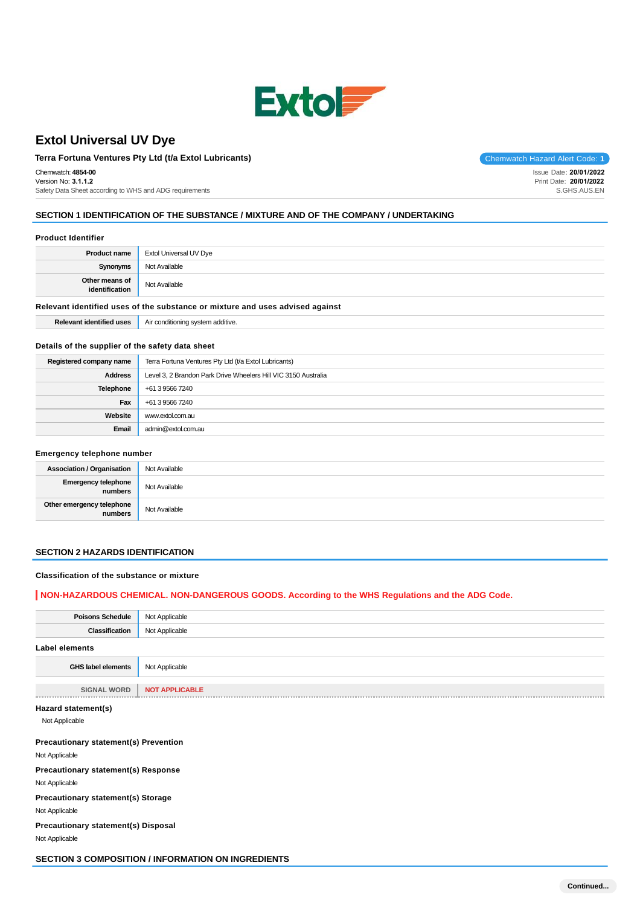

# **Extol Universal UV Dye**

# **Terra Fortuna Ventures Pty Ltd (t/a Extol Lubricants)** Chemwatch Hazard Alert Code: 1

Chemwatch: **4854-00** Version No: **3.1.1.2** Safety Data Sheet according to WHS and ADG requirements

Issue Date: **20/01/2022** Print Date: **20/01/2022** S.GHS.AUS.EN

### **SECTION 1 IDENTIFICATION OF THE SUBSTANCE / MIXTURE AND OF THE COMPANY / UNDERTAKING**

## **Product Identifier**

| <b>Product name</b>                                                           | Extol Universal UV Dye |
|-------------------------------------------------------------------------------|------------------------|
| Synonyms                                                                      | Not Available          |
| Other means of<br>identification                                              | Not Available          |
| Relevant identified uses of the substance or mixture and uses advised against |                        |

**Relevant identified uses** <br>Air conditioning system additive.

### **Details of the supplier of the safety data sheet**

| Registered company name | Terra Fortuna Ventures Pty Ltd (t/a Extol Lubricants)          |  |
|-------------------------|----------------------------------------------------------------|--|
| <b>Address</b>          | Level 3, 2 Brandon Park Drive Wheelers Hill VIC 3150 Australia |  |
| Telephone               | +61 3 9566 7240                                                |  |
| Fax                     | +61 3 9566 7240                                                |  |
| Website                 | www.extol.com.au                                               |  |
| Email                   | admin@extol.com.au                                             |  |

## **Emergency telephone number**

| <b>Association / Organisation</b>    | Not Available |
|--------------------------------------|---------------|
| Emergency telephone<br>numbers       | Not Available |
| Other emergency telephone<br>numbers | Not Available |

#### **SECTION 2 HAZARDS IDENTIFICATION**

#### **Classification of the substance or mixture**

## **NON-HAZARDOUS CHEMICAL. NON-DANGEROUS GOODS. According to the WHS Regulations and the ADG Code.**

| <b>Poisons Schedule</b> | Not Applicable        |
|-------------------------|-----------------------|
| <b>Classification</b>   | Not Applicable        |
| <b>Label elements</b>   |                       |
| GHS label elements      | Not Applicable        |
|                         |                       |
| <b>SIGNAL WORD</b>      | <b>NOT APPLICABLE</b> |
|                         |                       |
| Hazard statement(s)     |                       |
| Not Applicable          |                       |

#### **Precautionary statement(s) Prevention**

Not Applicable

**Precautionary statement(s) Response**

Not Applicable

**Precautionary statement(s) Storage** Not Applicable

**Precautionary statement(s) Disposal** Not Applicable

**SECTION 3 COMPOSITION / INFORMATION ON INGREDIENTS**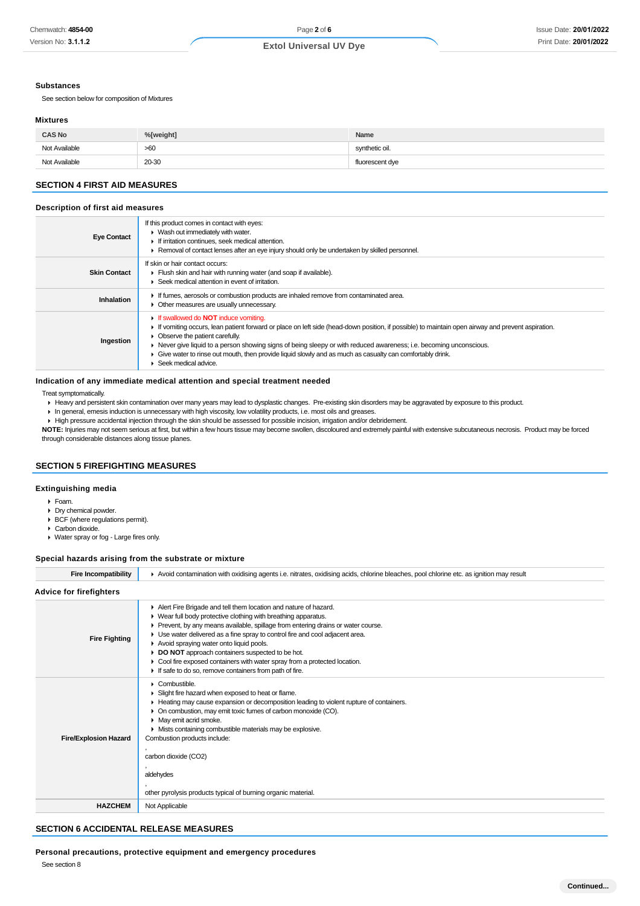#### **Substances**

See section below for composition of Mixtures

#### **Mixtures**

| <b>CAS No</b> | %[weight] | Name            |
|---------------|-----------|-----------------|
| Not Available | >60       | synthetic oil.  |
| Not Available | 20-30     | fluorescent dye |

## **SECTION 4 FIRST AID MEASURES**

#### **Description of first aid measures**

| <b>Eye Contact</b>  | If this product comes in contact with eyes:<br>$\blacktriangleright$ Wash out immediately with water.<br>If irritation continues, seek medical attention.<br>► Removal of contact lenses after an eye injury should only be undertaken by skilled personnel.                                                                                                                                                                                                                                   |
|---------------------|------------------------------------------------------------------------------------------------------------------------------------------------------------------------------------------------------------------------------------------------------------------------------------------------------------------------------------------------------------------------------------------------------------------------------------------------------------------------------------------------|
| <b>Skin Contact</b> | If skin or hair contact occurs:<br>Flush skin and hair with running water (and soap if available).<br>▶ Seek medical attention in event of irritation.                                                                                                                                                                                                                                                                                                                                         |
| Inhalation          | If fumes, aerosols or combustion products are inhaled remove from contaminated area.<br>• Other measures are usually unnecessary.                                                                                                                                                                                                                                                                                                                                                              |
| Ingestion           | If swallowed do <b>NOT</b> induce vomiting.<br>If vomiting occurs, lean patient forward or place on left side (head-down position, if possible) to maintain open airway and prevent aspiration.<br>• Observe the patient carefully.<br>• Never give liquid to a person showing signs of being sleepy or with reduced awareness; i.e. becoming unconscious.<br>Give water to rinse out mouth, then provide liquid slowly and as much as casualty can comfortably drink.<br>Seek medical advice. |

#### **Indication of any immediate medical attention and special treatment needed**

### Treat symptomatically.

Heavy and persistent skin contamination over many years may lead to dysplastic changes. Pre-existing skin disorders may be aggravated by exposure to this product.

In general, emesis induction is unnecessary with high viscosity, low volatility products, i.e. most oils and greases.

High pressure accidental injection through the skin should be assessed for possible incision, irrigation and/or debridement.

**NOTE:** Injuries may not seem serious at first, but within a few hours tissue may become swollen, discoloured and extremely painful with extensive subcutaneous necrosis. Product may be forced through considerable distances along tissue planes.

## **SECTION 5 FIREFIGHTING MEASURES**

### **Extinguishing media**

- Foam.
- Dry chemical powder.
- BCF (where regulations permit). ▶ Carbon dioxide.
- Water spray or fog Large fires only.

### **Special hazards arising from the substrate or mixture**

| <b>Fire Incompatibility</b>  | Avoid contamination with oxidising agents i.e. nitrates, oxidising acids, chlorine bleaches, pool chlorine etc. as ignition may result                                                                                                                                                                                                                                                                                                                                                                                                      |  |  |
|------------------------------|---------------------------------------------------------------------------------------------------------------------------------------------------------------------------------------------------------------------------------------------------------------------------------------------------------------------------------------------------------------------------------------------------------------------------------------------------------------------------------------------------------------------------------------------|--|--|
| Advice for firefighters      |                                                                                                                                                                                                                                                                                                                                                                                                                                                                                                                                             |  |  |
| <b>Fire Fighting</b>         | Alert Fire Brigade and tell them location and nature of hazard.<br>• Wear full body protective clothing with breathing apparatus.<br>▶ Prevent, by any means available, spillage from entering drains or water course.<br>• Use water delivered as a fine spray to control fire and cool adjacent area.<br>Avoid spraying water onto liquid pools.<br>DO NOT approach containers suspected to be hot.<br>Cool fire exposed containers with water spray from a protected location.<br>If safe to do so, remove containers from path of fire. |  |  |
| <b>Fire/Explosion Hazard</b> | $\triangleright$ Combustible.<br>• Slight fire hazard when exposed to heat or flame.<br>► Heating may cause expansion or decomposition leading to violent rupture of containers.<br>• On combustion, may emit toxic fumes of carbon monoxide (CO).<br>• May emit acrid smoke.<br>• Mists containing combustible materials may be explosive.<br>Combustion products include:<br>carbon dioxide (CO2)<br>aldehydes<br>other pyrolysis products typical of burning organic material.                                                           |  |  |
| <b>HAZCHEM</b>               | Not Applicable                                                                                                                                                                                                                                                                                                                                                                                                                                                                                                                              |  |  |

## **SECTION 6 ACCIDENTAL RELEASE MEASURES**

**Personal precautions, protective equipment and emergency procedures**

See section 8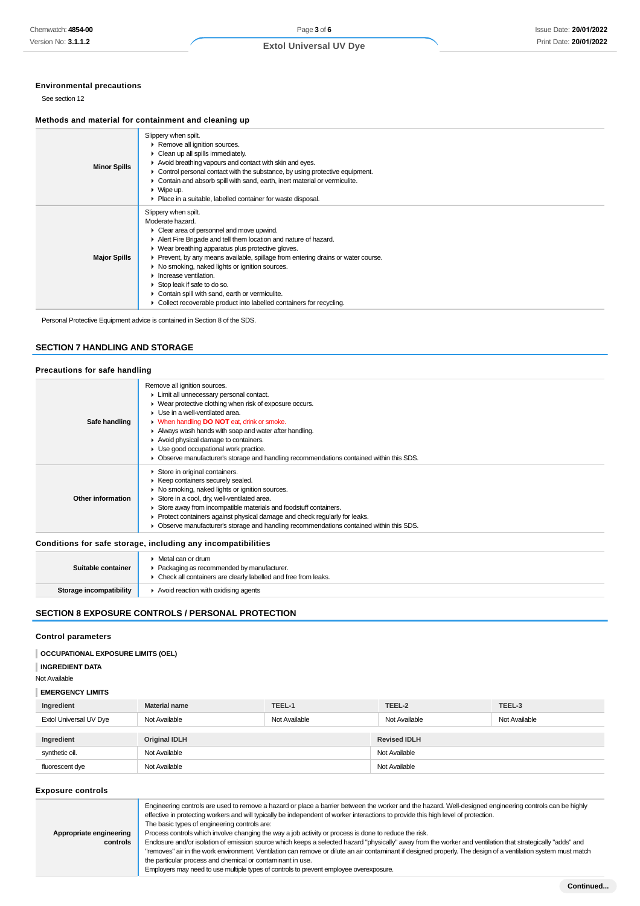## **Environmental precautions**

See section 12

### **Methods and material for containment and cleaning up**

| <b>Minor Spills</b> | Slippery when spilt.<br>▶ Remove all ignition sources.<br>$\triangleright$ Clean up all spills immediately.<br>Avoid breathing vapours and contact with skin and eyes.<br>Control personal contact with the substance, by using protective equipment.<br>• Contain and absorb spill with sand, earth, inert material or vermiculite.<br>$\blacktriangleright$ Wipe up.<br>• Place in a suitable, labelled container for waste disposal.                                                                                                                              |
|---------------------|----------------------------------------------------------------------------------------------------------------------------------------------------------------------------------------------------------------------------------------------------------------------------------------------------------------------------------------------------------------------------------------------------------------------------------------------------------------------------------------------------------------------------------------------------------------------|
| <b>Major Spills</b> | Slippery when spilt.<br>Moderate hazard.<br>• Clear area of personnel and move upwind.<br>Alert Fire Brigade and tell them location and nature of hazard.<br>▶ Wear breathing apparatus plus protective gloves.<br>• Prevent, by any means available, spillage from entering drains or water course.<br>▶ No smoking, naked lights or ignition sources.<br>$\blacktriangleright$ Increase ventilation.<br>Stop leak if safe to do so.<br>Contain spill with sand, earth or vermiculite.<br>۰.<br>Collect recoverable product into labelled containers for recycling. |

Personal Protective Equipment advice is contained in Section 8 of the SDS.

## **SECTION 7 HANDLING AND STORAGE**

## **Precautions for safe handling**

| Safe handling     | Remove all ignition sources.<br>Limit all unnecessary personal contact.<br>• Wear protective clothing when risk of exposure occurs.<br>$\blacktriangleright$ Use in a well-ventilated area.<br>• When handling <b>DO NOT</b> eat, drink or smoke.<br>Always wash hands with soap and water after handling.<br>Avoid physical damage to containers.<br>• Use good occupational work practice.<br>• Observe manufacturer's storage and handling recommendations contained within this SDS. |
|-------------------|------------------------------------------------------------------------------------------------------------------------------------------------------------------------------------------------------------------------------------------------------------------------------------------------------------------------------------------------------------------------------------------------------------------------------------------------------------------------------------------|
| Other information | Store in original containers.<br>▶ Keep containers securely sealed.<br>▶ No smoking, naked lights or ignition sources.<br>Store in a cool, dry, well-ventilated area.<br>Store away from incompatible materials and foodstuff containers.<br>▶ Protect containers against physical damage and check regularly for leaks.<br>• Observe manufacturer's storage and handling recommendations contained within this SDS.                                                                     |

**Conditions for safe storage, including any incompatibilities**

| Suitable container             | Metal can or drum<br>• Packaging as recommended by manufacturer.<br>• Check all containers are clearly labelled and free from leaks. |
|--------------------------------|--------------------------------------------------------------------------------------------------------------------------------------|
| <b>Storage incompatibility</b> | $\blacktriangleright$ Avoid reaction with oxidising agents                                                                           |

### **SECTION 8 EXPOSURE CONTROLS / PERSONAL PROTECTION**

### **Control parameters**

# **OCCUPATIONAL EXPOSURE LIMITS (OEL)**

## **INGREDIENT DATA**

Not Available

# **EMERGENCY LIMITS**

| Ingredient             | <b>Material name</b> | TEEL-1        | TEEL-2              | TEEL-3        |
|------------------------|----------------------|---------------|---------------------|---------------|
| Extol Universal UV Dye | Not Available        | Not Available | Not Available       | Not Available |
|                        |                      |               |                     |               |
| Ingredient             | <b>Original IDLH</b> |               | <b>Revised IDLH</b> |               |
| synthetic oil.         | Not Available        |               | Not Available       |               |
| fluorescent dye        | Not Available        |               | Not Available       |               |

#### **Exposure controls**

| Appropriate engineering<br>controls | Engineering controls are used to remove a hazard or place a barrier between the worker and the hazard. Well-designed engineering controls can be highly<br>effective in protecting workers and will typically be independent of worker interactions to provide this high level of protection.<br>The basic types of engineering controls are:<br>Process controls which involve changing the way a job activity or process is done to reduce the risk.<br>Enclosure and/or isolation of emission source which keeps a selected hazard "physically" away from the worker and ventilation that strategically "adds" and<br>"removes" air in the work environment. Ventilation can remove or dilute an air contaminant if designed properly. The design of a ventilation system must match<br>the particular process and chemical or contaminant in use.<br>Employers may need to use multiple types of controls to prevent employee overexposure. |
|-------------------------------------|-------------------------------------------------------------------------------------------------------------------------------------------------------------------------------------------------------------------------------------------------------------------------------------------------------------------------------------------------------------------------------------------------------------------------------------------------------------------------------------------------------------------------------------------------------------------------------------------------------------------------------------------------------------------------------------------------------------------------------------------------------------------------------------------------------------------------------------------------------------------------------------------------------------------------------------------------|
|                                     |                                                                                                                                                                                                                                                                                                                                                                                                                                                                                                                                                                                                                                                                                                                                                                                                                                                                                                                                                 |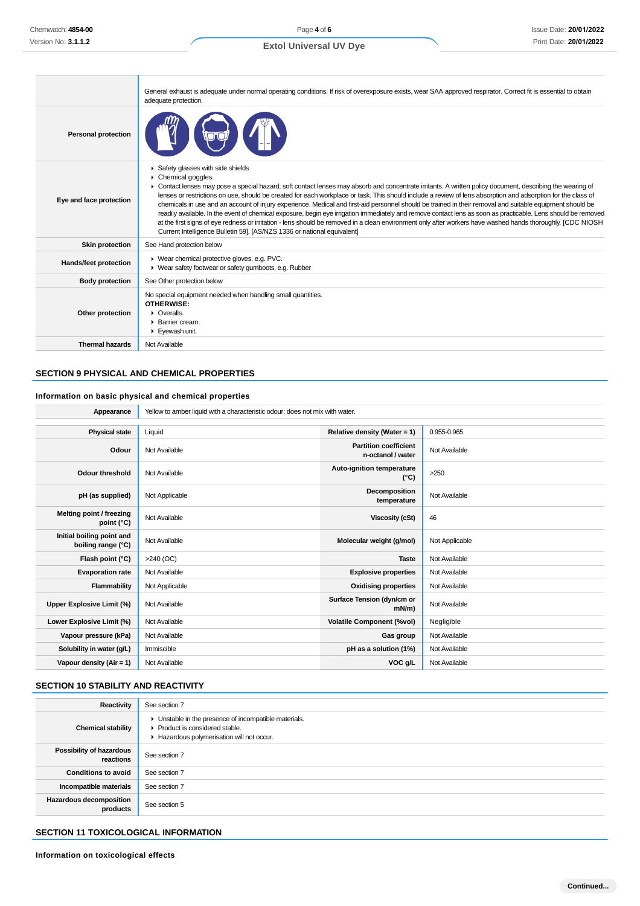|                            | General exhaust is adequate under normal operating conditions. If risk of overexposure exists, wear SAA approved respirator. Correct fit is essential to obtain<br>adequate protection.                                                                                                                                                                                                                                                                                                                                                                                                                                                                                                                                                                                                                                                                                                                                                                     |
|----------------------------|-------------------------------------------------------------------------------------------------------------------------------------------------------------------------------------------------------------------------------------------------------------------------------------------------------------------------------------------------------------------------------------------------------------------------------------------------------------------------------------------------------------------------------------------------------------------------------------------------------------------------------------------------------------------------------------------------------------------------------------------------------------------------------------------------------------------------------------------------------------------------------------------------------------------------------------------------------------|
| <b>Personal protection</b> |                                                                                                                                                                                                                                                                                                                                                                                                                                                                                                                                                                                                                                                                                                                                                                                                                                                                                                                                                             |
| Eye and face protection    | Safety glasses with side shields<br>Chemical goggles.<br>► Contact lenses may pose a special hazard; soft contact lenses may absorb and concentrate irritants. A written policy document, describing the wearing of<br>lenses or restrictions on use, should be created for each workplace or task. This should include a review of lens absorption and adsorption for the class of<br>chemicals in use and an account of injury experience. Medical and first-aid personnel should be trained in their removal and suitable equipment should be<br>readily available. In the event of chemical exposure, begin eye irrigation immediately and remove contact lens as soon as practicable. Lens should be removed<br>at the first signs of eye redness or irritation - lens should be removed in a clean environment only after workers have washed hands thoroughly. [CDC NIOSH<br>Current Intelligence Bulletin 59], [AS/NZS 1336 or national equivalent] |
| <b>Skin protection</b>     | See Hand protection below                                                                                                                                                                                                                                                                                                                                                                                                                                                                                                                                                                                                                                                                                                                                                                                                                                                                                                                                   |
| Hands/feet protection      | ▶ Wear chemical protective gloves, e.g. PVC.<br>• Wear safety footwear or safety gumboots, e.g. Rubber                                                                                                                                                                                                                                                                                                                                                                                                                                                                                                                                                                                                                                                                                                                                                                                                                                                      |
| <b>Body protection</b>     | See Other protection below                                                                                                                                                                                                                                                                                                                                                                                                                                                                                                                                                                                                                                                                                                                                                                                                                                                                                                                                  |
| Other protection           | No special equipment needed when handling small quantities.<br><b>OTHERWISE:</b><br>$\triangleright$ Overalls.<br>▶ Barrier cream.<br>Eyewash unit.                                                                                                                                                                                                                                                                                                                                                                                                                                                                                                                                                                                                                                                                                                                                                                                                         |
| <b>Thermal hazards</b>     | Not Available                                                                                                                                                                                                                                                                                                                                                                                                                                                                                                                                                                                                                                                                                                                                                                                                                                                                                                                                               |

# **SECTION 9 PHYSICAL AND CHEMICAL PROPERTIES**

# **Information on basic physical and chemical properties**

**Appearance** Yellow to amber liquid with a characteristic odour; does not mix with water.

| <b>Physical state</b>                           | Liquid         | Relative density (Water = $1$ )                   | 0.955-0.965    |
|-------------------------------------------------|----------------|---------------------------------------------------|----------------|
| Odour                                           | Not Available  | <b>Partition coefficient</b><br>n-octanol / water | Not Available  |
| <b>Odour threshold</b>                          | Not Available  | Auto-ignition temperature<br>$(^{\circ}C)$        | $>250$         |
| pH (as supplied)                                | Not Applicable | Decomposition<br>temperature                      | Not Available  |
| Melting point / freezing<br>point $(^{\circ}C)$ | Not Available  | <b>Viscosity (cSt)</b>                            | 46             |
| Initial boiling point and<br>boiling range (°C) | Not Available  | Molecular weight (g/mol)                          | Not Applicable |
| Flash point (°C)                                | $>240$ (OC)    | <b>Taste</b>                                      | Not Available  |
| <b>Evaporation rate</b>                         | Not Available  | <b>Explosive properties</b>                       | Not Available  |
| Flammability                                    | Not Applicable | <b>Oxidising properties</b>                       | Not Available  |
| Upper Explosive Limit (%)                       | Not Available  | Surface Tension (dyn/cm or<br>mN/m                | Not Available  |
| Lower Explosive Limit (%)                       | Not Available  | <b>Volatile Component (%vol)</b>                  | Negligible     |
| Vapour pressure (kPa)                           | Not Available  | Gas group                                         | Not Available  |
| Solubility in water (g/L)                       | Immiscible     | pH as a solution (1%)                             | Not Available  |
| Vapour density (Air = $1$ )                     | Not Available  | VOC g/L                                           | Not Available  |

### **SECTION 10 STABILITY AND REACTIVITY**

| Reactivity                                 | See section 7                                                                                                                        |
|--------------------------------------------|--------------------------------------------------------------------------------------------------------------------------------------|
| <b>Chemical stability</b>                  | • Unstable in the presence of incompatible materials.<br>▶ Product is considered stable.<br>Hazardous polymerisation will not occur. |
| Possibility of hazardous<br>reactions      | See section 7                                                                                                                        |
| <b>Conditions to avoid</b>                 | See section 7                                                                                                                        |
| Incompatible materials                     | See section 7                                                                                                                        |
| <b>Hazardous decomposition</b><br>products | See section 5                                                                                                                        |

# **SECTION 11 TOXICOLOGICAL INFORMATION**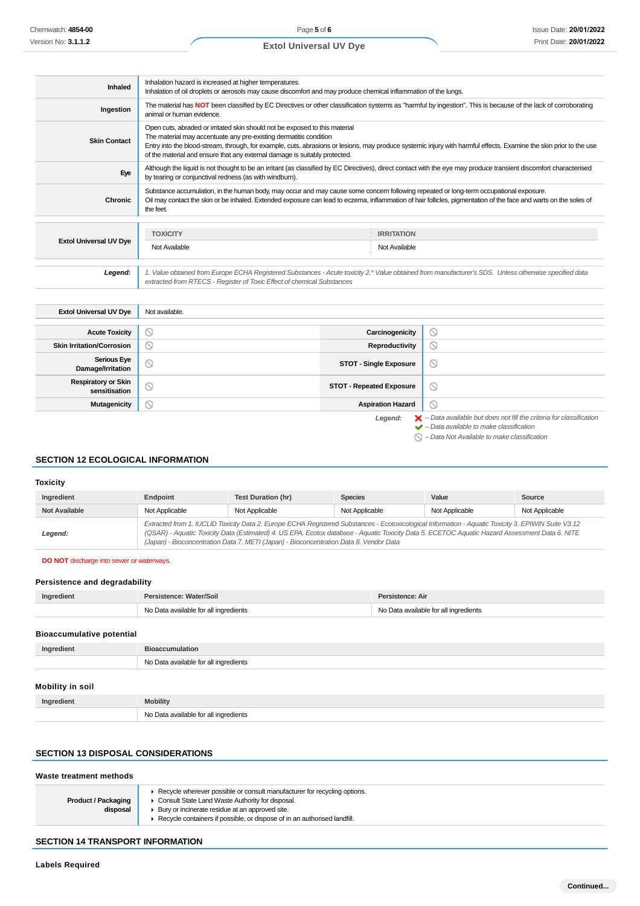Page **5** of **6**

# **Extol Universal UV Dye**

| Inhaled                       | Inhalation hazard is increased at higher temperatures.<br>Inhalation of oil droplets or aerosols may cause discomfort and may produce chemical inflammation of the lungs.                                                                                                                                                                                                                            |                                                                                                                                                               |
|-------------------------------|------------------------------------------------------------------------------------------------------------------------------------------------------------------------------------------------------------------------------------------------------------------------------------------------------------------------------------------------------------------------------------------------------|---------------------------------------------------------------------------------------------------------------------------------------------------------------|
| Ingestion                     | animal or human evidence.                                                                                                                                                                                                                                                                                                                                                                            | The material has NOT been classified by EC Directives or other classification systems as "harmful by ingestion". This is because of the lack of corroborating |
| <b>Skin Contact</b>           | Open cuts, abraded or irritated skin should not be exposed to this material<br>The material may accentuate any pre-existing dermatitis condition<br>Entry into the blood-stream, through, for example, cuts, abrasions or lesions, may produce systemic injury with harmful effects. Examine the skin prior to the use<br>of the material and ensure that any external damage is suitably protected. |                                                                                                                                                               |
| Eye                           | Although the liquid is not thought to be an irritant (as classified by EC Directives), direct contact with the eye may produce transient discomfort characterised<br>by tearing or conjunctival redness (as with windburn).                                                                                                                                                                          |                                                                                                                                                               |
| Chronic                       | Substance accumulation, in the human body, may occur and may cause some concern following repeated or long-term occupational exposure.<br>Oil may contact the skin or be inhaled. Extended exposure can lead to eczema, inflammation of hair follicles, pigmentation of the face and warts on the soles of<br>the feet.                                                                              |                                                                                                                                                               |
|                               |                                                                                                                                                                                                                                                                                                                                                                                                      |                                                                                                                                                               |
| <b>Extol Universal UV Dye</b> | <b>TOXICITY</b>                                                                                                                                                                                                                                                                                                                                                                                      | <b>IRRITATION</b>                                                                                                                                             |
|                               | Not Available                                                                                                                                                                                                                                                                                                                                                                                        | Not Available                                                                                                                                                 |
|                               |                                                                                                                                                                                                                                                                                                                                                                                                      |                                                                                                                                                               |
| Legend:                       | extracted from RTECS - Register of Toxic Effect of chemical Substances                                                                                                                                                                                                                                                                                                                               | 1. Value obtained from Europe ECHA Registered Substances - Acute toxicity 2.* Value obtained from manufacturer's SDS. Unless otherwise specified data         |

| <b>Extol Universal UV Dye</b>               | Not available.      |                                 |                                                                                                                                                                                                                     |
|---------------------------------------------|---------------------|---------------------------------|---------------------------------------------------------------------------------------------------------------------------------------------------------------------------------------------------------------------|
|                                             |                     |                                 |                                                                                                                                                                                                                     |
| <b>Acute Toxicity</b>                       | $\circ$             | Carcinogenicity                 | $\circ$                                                                                                                                                                                                             |
| <b>Skin Irritation/Corrosion</b>            | $\scriptstyle\circ$ | Reproductivity                  | $\circ$                                                                                                                                                                                                             |
| <b>Serious Eye</b><br>Damage/Irritation     | Ø                   | <b>STOT - Single Exposure</b>   | $\circledcirc$                                                                                                                                                                                                      |
| <b>Respiratory or Skin</b><br>sensitisation | $\circ$             | <b>STOT - Repeated Exposure</b> | $\circledcirc$                                                                                                                                                                                                      |
| <b>Mutagenicity</b>                         | S                   | <b>Aspiration Hazard</b>        | $\circledcirc$                                                                                                                                                                                                      |
|                                             |                     | Legend:                         | $\blacktriangleright$ - Data available but does not fill the criteria for classification<br>$\blacktriangleright$ - Data available to make classification<br>$\bigcirc$ – Data Not Available to make classification |

# **SECTION 12 ECOLOGICAL INFORMATION**

#### **Toxicity**

| Ingredient           | Endpoint                                                                                                                                                                                                                                                                                                                                                                                        | Test Duration (hr) | <b>Species</b> | Value          | Source         |
|----------------------|-------------------------------------------------------------------------------------------------------------------------------------------------------------------------------------------------------------------------------------------------------------------------------------------------------------------------------------------------------------------------------------------------|--------------------|----------------|----------------|----------------|
| <b>Not Available</b> | Not Applicable                                                                                                                                                                                                                                                                                                                                                                                  | Not Applicable     | Not Applicable | Not Applicable | Not Applicable |
| Legend:              | Extracted from 1. IUCLID Toxicity Data 2. Europe ECHA Registered Substances - Ecotoxicological Information - Aquatic Toxicity 3. EPIWIN Suite V3.12<br>(QSAR) - Aquatic Toxicity Data (Estimated) 4. US EPA, Ecotox database - Aquatic Toxicity Data 5. ECETOC Aquatic Hazard Assessment Data 6. NITE<br>(Japan) - Bioconcentration Data 7. METI (Japan) - Bioconcentration Data 8. Vendor Data |                    |                |                |                |

### **DO NOT** discharge into sewer or waterways.

## **Persistence and degradability**

| Ingredient | Persistence: Water/Soil               | Persistence: Air                      |
|------------|---------------------------------------|---------------------------------------|
|            | No Data available for all ingredients | No Data available for all ingredients |

### **Bioaccumulative potential**

| Ingredient | <b>Bioaccumulation</b>                |
|------------|---------------------------------------|
|            | No Data available for all ingredients |
|            |                                       |

# **Mobility in soil**

| Ingredient | <b>Mobility</b>                                      |
|------------|------------------------------------------------------|
|            | No Data available for all ingredients<br>$\sim$<br>. |

# **SECTION 13 DISPOSAL CONSIDERATIONS**

| Waste treatment methods                |                                                                                                                                                                                                                                                                 |  |
|----------------------------------------|-----------------------------------------------------------------------------------------------------------------------------------------------------------------------------------------------------------------------------------------------------------------|--|
| <b>Product / Packaging</b><br>disposal | ► Recycle wherever possible or consult manufacturer for recycling options.<br>Consult State Land Waste Authority for disposal.<br>▶ Bury or incinerate residue at an approved site.<br>Recycle containers if possible, or dispose of in an authorised landfill. |  |

# **SECTION 14 TRANSPORT INFORMATION**